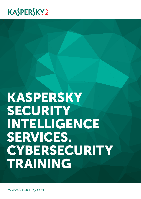## KASPERSKYS

# Kaspersky SECURITY Intelligence Services. **CYBERSECURITY** TRAINING

www.kaspersky.com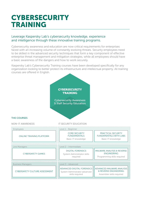### **CYBERSECURITY** TRAINING

#### Leverage Kaspersky Lab's cybersecurity knowledge, experience and intelligence through these innovative training programs.

Cybersecurity awareness and education are now critical requirements for enterprises faced with an increasing volume of constantly evolving threats. Security employees need to be skilled in the advanced security techniques that form a key component of effective enterprise threat management and mitigation strategies, while all employees should have a basic awareness of the dangers and how to work securely.

Kaspersky Lab's Cybersecurity Training courses have been developed specifically for any organization looking to better protect its infrastructure and intellectual property. All training courses are offered in English.

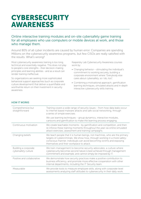### **CYBERSECURITY** AWARENESS

Online interactive training modules and on-site cybersafety game training for all employees who use computers or mobile devices at work, and those who manage them.

Around 80% of all cyber incidents are caused by human error. Companies are spending Millions on the cybersecurity awareness programs, but few CISOs are really satisfied with the results. What's wrong?

Most cybersecurity awareness training is too long, technical and essentially negative. This does not play to people's core strengths - their decision-making principles and learning abilities - and as a result can render training ineffectual.

So organizations are seeking more sophisticated behavioral support approaches (such as corporate culture development) that deliver a quantifiable and worthwhile return on their investment in security awareness.

Kaspersky Lab Cybersecurity Awareness courses work by:

- Changing behavior stimulating the individual's commitment to working securely, building a corporate environment where "Everybody else cares about cybersafety, so I do, too".
- Combining a motivational approach, gamification learning techniques, simulated attacks and in-depth interactive cybersecurity skills training.

| Comprehensive but<br>straightforward        | Training covers a wide range of security issues - from how data leaks occur<br>to internet based malware attacks and safe social networking, through<br>a series of simple exercises.                                                                                         |
|---------------------------------------------|-------------------------------------------------------------------------------------------------------------------------------------------------------------------------------------------------------------------------------------------------------------------------------|
|                                             | We use learning techniques - group dynamics, interactive modules,<br>cartoons and gamification to make the learning process engaging.                                                                                                                                         |
| Continuous motivation                       | We create teachable moments - by gamification and competition, and then<br>re-inforce these training moments throughout the year via online simulated<br>attack exercises, assessment and training campaigns.                                                                 |
| Changing beliefs                            | We teach people that it is human beings, not machines, who are the primary<br>targets of cybercriminals. We show how, through working in a more safety-<br>conscious manner, individuals can avoid becoming victims and exposing<br>themselves and their workplace to attack. |
| Building a corporate<br>cybersafety culture | We train management to become security advocates; a culture where<br>cybersecurity becomes second nature is best achieved through management<br>commitment and example, and cannot simply be imposed by IT.                                                                   |
| Positive and collaborative                  | We demonstrate how security practices make a positive contribution to<br>business efficiency, and promote more effective cooperation with other<br>internal departments, including the IT Security team.                                                                      |
| Measurable                                  | We provide tools to measure employee skills, along with corporate-level<br>assessments analyzing staff attitudes to cybersecurity in their daily work.                                                                                                                        |

#### **HOW IT WORKS**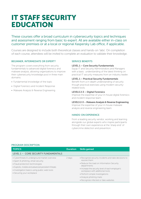### IT STAFF SECURITY **EDUCATION**

These courses offer a broad curriculum in cybersecurity topics and techniques and assessment ranging from basic to expert. All are available either in-class on customer premises or at a local or regional Kaspersky Lab office, if applicable.

Courses are designed to include both theoretical classes and hands-on 'labs'. On completion of each course, attendees will be invited to complete an evaluation to validate their knowledge.

#### BEGINNER, INTERMEDIATE OR EXPERT?

The program covers everything from security fundamentals to advanced digital forensics and malware analysis, allowing organizations to improve their cybersecurity knowledge pool in three main domains:

- Fundamental knowledge of the topic
- Digital Forensics and Incident Response
- Malware Analysis & Reverse Engineering

#### SERVICE BENEFITS

#### LEVEL 1 – Core Security Fundamentals

Equip IT and Security Administrators and Managers with a basic understanding of the latest thinking on practical IT security measures from an industry leader.

#### LEVEL 1 – Practical Security Fundamentals

Benefit from a in-depth understanding of security though practical exercises using modern securityrelated tools.

#### LEVELS 2-3 – Digital Forensics

Improve the expertise of your in-house digital forensics and incident response team.

#### LEVELS 2-3 – Malware Analysis & Reverse Engineering

Improve the expertise of your in-house malware analysis and reverse engineering team.

#### HANDS-ON EXPERIENCE

From a leading security vendor, working and learning alongside our global experts who inspire participants through their own experience at the 'sharp end' of cybercrime detection and prevention.

| <b>Duration</b> | <b>Skills gained</b>                                                                |
|-----------------|-------------------------------------------------------------------------------------|
|                 |                                                                                     |
| 2 days          | • Recognize security incidents and take decisions to<br>resolve them                |
|                 | • Reduce the load on Information Security<br>departments                            |
|                 | • Increase the security level of each employer's<br>workplace with additional tools |
|                 | • Perform simple investigations                                                     |
|                 | • Analyze phishing mails                                                            |
|                 | • Recognize infected or fake websites                                               |
|                 |                                                                                     |

#### PROGRAM DESCRIPTION